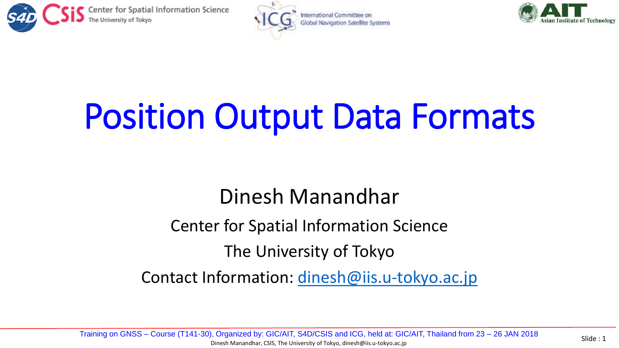





# Position Output Data Formats

#### Dinesh Manandhar

Center for Spatial Information Science

The University of Tokyo

Contact Information: [dinesh@iis.u-tokyo.ac.jp](mailto:dinesh@iis.u-Tokyo.ac.jp)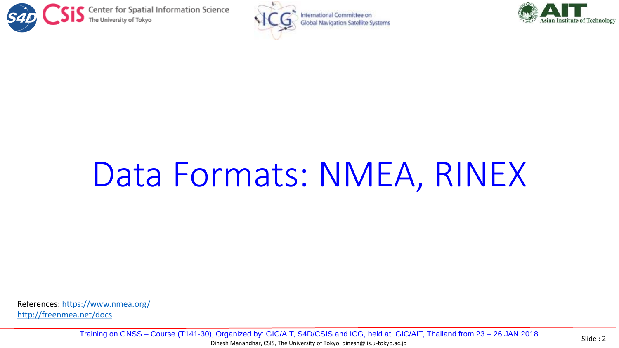





## Data Formats: NMEA, RINEX

References:<https://www.nmea.org/> <http://freenmea.net/docs>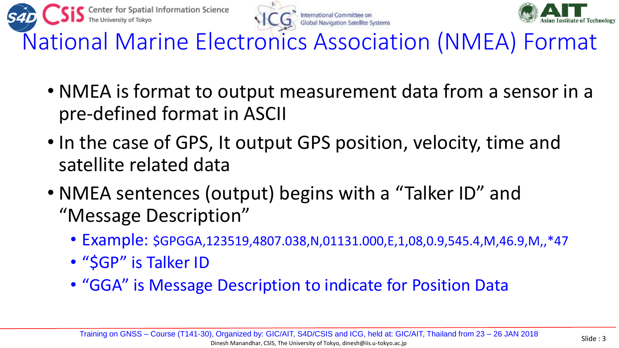





National Marine Electronics Association (NMEA) Format

- NMEA is format to output measurement data from a sensor in a pre-defined format in ASCII
- In the case of GPS, It output GPS position, velocity, time and satellite related data
- NMEA sentences (output) begins with a "Talker ID" and "Message Description"
	- Example: \$GPGGA,123519,4807.038,N,01131.000,E,1,08,0.9,545.4,M,46.9,M,,\*47
	- "SGP" is Talker ID
	- "GGA" is Message Description to indicate for Position Data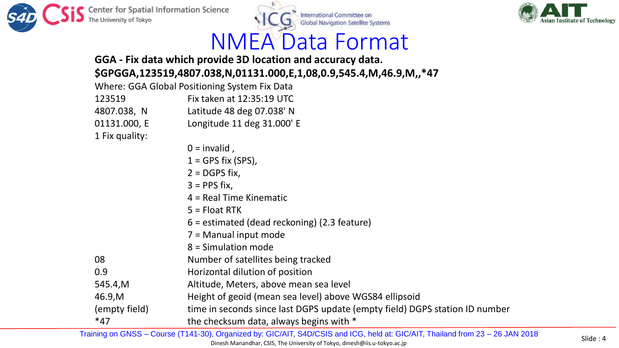



### NMEA Data Format

#### **GGA - Fix data which provide 3D location and accuracy data. \$GPGGA,123519,4807.038,N,01131.000,E,1,08,0.9,545.4,M,46.9,M,,\*47**

|                | Where: GGA Global Positioning System Fix Data  |
|----------------|------------------------------------------------|
| 123519         | Fix taken at 12:35:19 UTC                      |
| 4807.038, N    | Latitude 48 deg 07.038' N                      |
| 01131.000, E   | Longitude 11 deg 31.000' E                     |
| 1 Fix quality: |                                                |
|                | $0 =$ invalid,                                 |
|                | $1 = GPS$ fix (SPS),                           |
|                | $2 = DGPS fix,$                                |
|                | $3 = PPS$ fix,                                 |
|                | $4$ = Real Time Kinematic                      |
|                | $5 =$ Float RTK                                |
|                | $6 =$ estimated (dead reckoning) (2.3 feature) |
|                | $7 =$ Manual input mode                        |
|                | 8 = Simulation mode                            |
| 08             | Number of satellites being tracked             |
| 0.9            | Horizontal dilution of position                |
| CAEANA         | Altitude Meters above mean sea level           |

- 545.4,M Altitude, Meters, above mean sea level
- 46.9,M Height of geoid (mean sea level) above WGS84 ellipsoid
- (empty field) time in seconds since last DGPS update (empty field) DGPS station ID number
- \*47 the checksum data, always begins with \*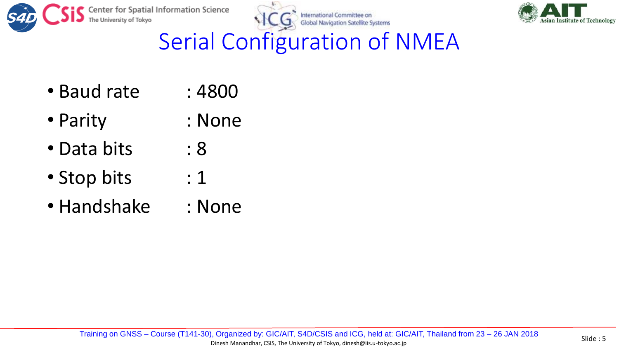





Serial Configuration of NMEA

- Baud rate : 4800
- Parity : None
- Data bits : 8
- Stop bits : 1
- Handshake : None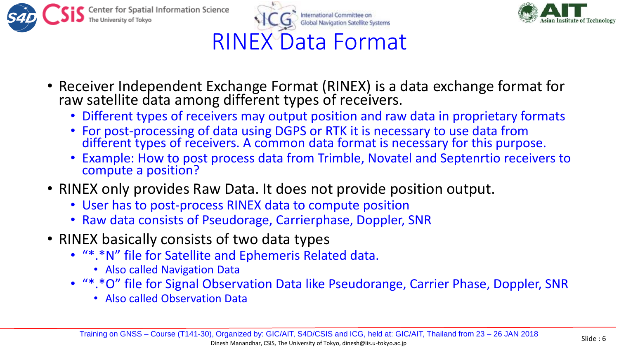





- Receiver Independent Exchange Format (RINEX) is a data exchange format for raw satellite data among different types of receivers.
	- Different types of receivers may output position and raw data in proprietary formats
	- For post-processing of data using DGPS or RTK it is necessary to use data from different types of receivers. A common data format is necessary for this purpose.
	- Example: How to post process data from Trimble, Novatel and Septenrtio receivers to compute a position?
- RINEX only provides Raw Data. It does not provide position output.
	- User has to post-process RINEX data to compute position
	- Raw data consists of Pseudorage, Carrierphase, Doppler, SNR
- RINEX basically consists of two data types
	- "\*.\*N" file for Satellite and Ephemeris Related data.
		- Also called Navigation Data
	- "\*.\*O" file for Signal Observation Data like Pseudorange, Carrier Phase, Doppler, SNR
		- Also called Observation Data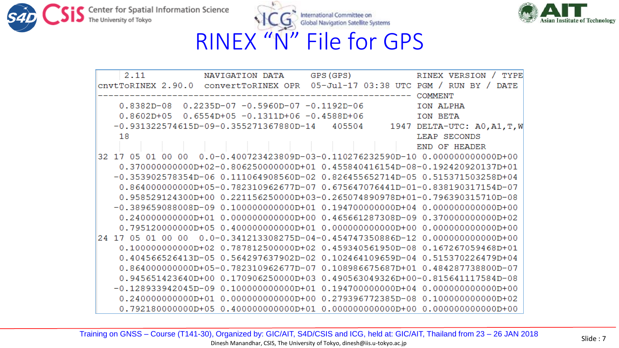



| 2.11              | NAVIGATION DATA                                   | GPS (GPS)                                                                                   | <b>TYPE</b><br>RINEX VERSION |
|-------------------|---------------------------------------------------|---------------------------------------------------------------------------------------------|------------------------------|
|                   |                                                   | cnvtToRINEX 2.90.0 convertToRINEX OPR 05-Jul-17 03:38 UTC PGM /                             | RIJN BY /<br><b>DATE</b>     |
|                   |                                                   |                                                                                             | <b>COMMENT</b>               |
|                   | $0.8382D-08$ $0.2235D-07$ -0.5960D-07 -0.1192D-06 |                                                                                             | TON ALPHA                    |
| $0.8602D + 05$    | $0.6554D+05 -0.1311D+06 -0.4588D+06$              |                                                                                             | TON BETA                     |
|                   | $-0.931322574615D-09-0.355271367880D-14$          | 405504                                                                                      | 1947 DELTA-UTC: AO, A1, T, W |
| 18                |                                                   |                                                                                             | LEAP SECONDS                 |
|                   |                                                   |                                                                                             | END OF HEADER                |
|                   |                                                   | 32 17 05 01 00 00 0.0-0.400723423809D-03-0.110276232590D-10 0.00000000000D+00               |                              |
|                   |                                                   | $0.37000000000000 + 02 - 0.80625000000000 + 01 0.455840416154D - 08 - 0.192420920137D + 01$ |                              |
|                   |                                                   | $-0.353902578354D-06$ 0.111064908560D-02 0.826455652714D-05 0.515371503258D+04              |                              |
|                   |                                                   | 0.864000000000D+05-0.782310962677D-07 0.675647076441D-01-0.838190317154D-07                 |                              |
|                   |                                                   | 0.958529124300D+00  0.221156250000D+03-0.265074890978D+01-0.796390315710D-08                |                              |
|                   |                                                   | $-0.389659088008D-09$ 0.10000000000D+01 0.19470000000D+04 0.00000000000D+00                 |                              |
|                   |                                                   | 0.24000000000000+01  0.00000000000000+00  0.465661287308D-09  0.37000000000000+02           |                              |
|                   |                                                   |                                                                                             |                              |
| 24 17 05 01 00 00 |                                                   | $0.0-0.341213308275D-04-0.454747350886D-12 0.00000000000D+00$                               |                              |
|                   |                                                   | 0.100000000000D+02  0.787812500000D+02  0.459340561950D-08  0.167267059468D+01              |                              |
|                   |                                                   | 0.404566526413D-05 0.564297637902D-02 0.102464109659D-04 0.515370226479D+04                 |                              |
|                   |                                                   | 0.864000000000D+05-0.782310962677D-07 0.108986675687D+01 0.484287738800D-07                 |                              |
|                   |                                                   | 0.945651423640D+00 0.170906250000D+03 0.490563049326D+00-0.815641117584D-08                 |                              |
|                   |                                                   | $-0.128933942045D-09$ 0.100000000000D+01 0.19470000000D+04 0.00000000000D+00                |                              |
|                   |                                                   | 0.240000000000D+01  0.00000000000D+00  0.279396772385D-08  0.10000000000D+02                |                              |
|                   |                                                   |                                                                                             |                              |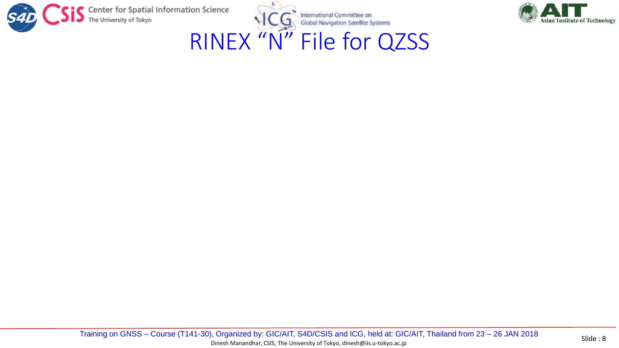



RINEX "N" File for QZSS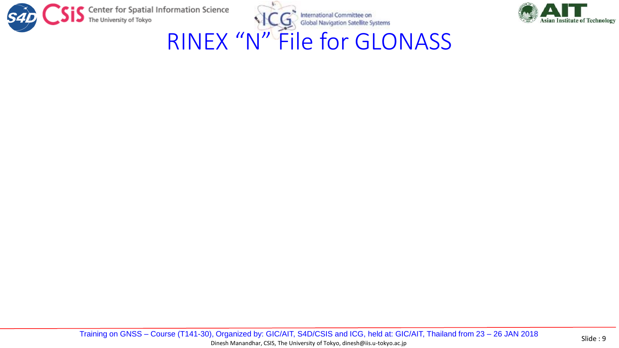



RINEX "N" File for GLONASS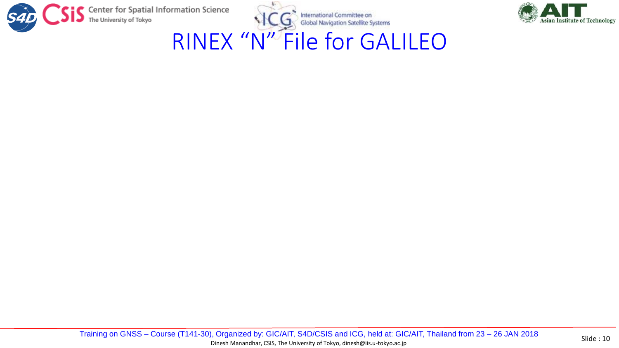



RINEX "N" File for GALILEO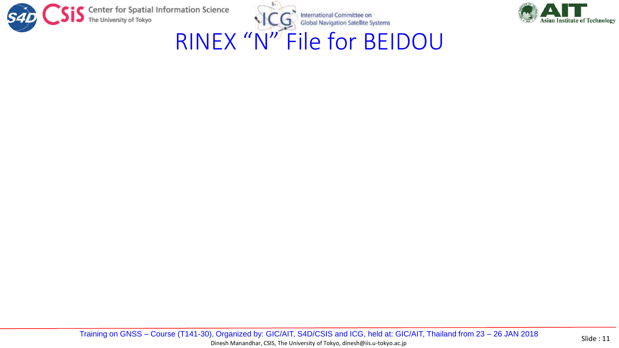



RINEX "N" File for BEIDOU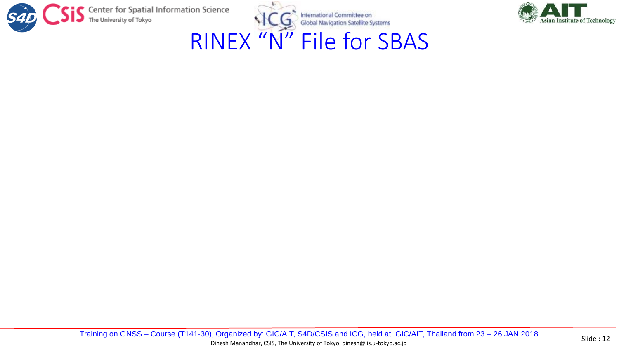



### RINEX "N" File for SBAS

Training on GNSS – Course (T141-30), Organized by: GIC/AIT, S4D/CSIS and ICG, held at: GIC/AIT, Thailand from 23 – 26 JAN 2018 Slide : 12 Dinesh Manandhar, CSIS, The University of Tokyo, dinesh@iis.u-tokyo.ac.jp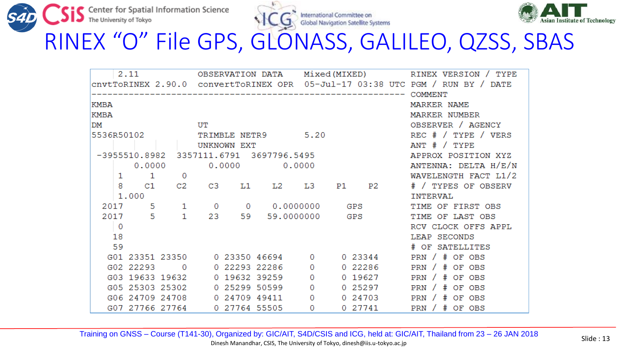





RINEX "O" File GPS, GLONASS, GALILEO, QZSS, SBAS

|              |                                      | 2.11      |                                           |                |                                                                              |        |               |    |                  |                     | OBSERVATION DATA Mixed(MIXED) RINEX VERSION / TYPE |  |  |  |  |
|--------------|--------------------------------------|-----------|-------------------------------------------|----------------|------------------------------------------------------------------------------|--------|---------------|----|------------------|---------------------|----------------------------------------------------|--|--|--|--|
|              |                                      |           |                                           |                | CNVLTORINEX 2.90.0 CONVETTORINEX OPR 05-Jul-17 03:38 UTC PGM / RUN BY / DATE |        |               |    |                  |                     |                                                    |  |  |  |  |
|              |                                      |           |                                           |                |                                                                              |        |               |    |                  |                     |                                                    |  |  |  |  |
| KMBA         |                                      |           |                                           |                |                                                                              |        |               |    |                  |                     | MARKER NAME                                        |  |  |  |  |
| KMBA         |                                      |           |                                           |                |                                                                              |        |               |    |                  |                     | MARKER NUMBER                                      |  |  |  |  |
| DM           |                                      |           |                                           | UT             |                                                                              |        |               |    |                  |                     | OBSERVER / AGENCY                                  |  |  |  |  |
| 5536R50102   |                                      |           |                                           |                | TRIMBLE NETR9                                                                |        | 5.20          |    |                  |                     | $REC$ # / TYPE / VERS                              |  |  |  |  |
|              |                                      |           |                                           |                | UNKNOWN EXT                                                                  |        |               |    |                  |                     | ANT $# /$ TYPE                                     |  |  |  |  |
|              |                                      |           | $-3955510.8982$ 3357111.6791 3697796.5495 |                |                                                                              |        |               |    |                  |                     | APPROX POSITION XYZ                                |  |  |  |  |
|              |                                      | 0.0000    |                                           |                | 0.0000                                                                       | 0.0000 |               |    |                  |                     | ANTENNA: DELTA H/E/N                               |  |  |  |  |
|              | $\mathbf{1}$<br>$\overline{0}$<br>1. |           |                                           |                |                                                                              |        |               |    |                  |                     | WAVELENGTH FACT L1/2                               |  |  |  |  |
|              | 8                                    | C1        | C <sub>2</sub>                            | C <sub>3</sub> | L1                                                                           | L2     | L3            | P1 | P2               |                     | # / TYPES OF OBSERV                                |  |  |  |  |
|              |                                      | 1,000     |                                           |                |                                                                              |        |               |    |                  |                     | TNTERVAL                                           |  |  |  |  |
|              | 2017                                 | -5.       | 1                                         | $\circ$        | $\sim$ 0                                                                     |        | 0.0000000 GPS |    |                  |                     | TIME OF FIRST OBS                                  |  |  |  |  |
| 2017 5<br>1. |                                      | 23        |                                           |                | 59 59.0000000                                                                | GPS    |               |    | TIME OF LAST OBS |                     |                                                    |  |  |  |  |
| 0            |                                      |           |                                           |                |                                                                              |        |               |    |                  | RCV CLOCK OFFS APPL |                                                    |  |  |  |  |
|              | 18                                   |           |                                           |                |                                                                              |        |               |    |                  |                     | LEAP SECONDS                                       |  |  |  |  |
|              | 59                                   |           |                                           |                |                                                                              |        |               |    |                  |                     | # OF SATELLITES                                    |  |  |  |  |
|              |                                      |           | G01 23351 23350 0 23350 46694             |                |                                                                              |        | $\Omega$      |    | 0 23344          |                     | PRN / # OF OBS                                     |  |  |  |  |
|              |                                      | G02 22293 | $\sim$ 0                                  |                | 0 22293 22286                                                                |        | 0             |    | 0 22286          |                     | PRN $/$ # OF OBS                                   |  |  |  |  |
|              |                                      |           | G03 19633 19632                           |                | 0 19632 39259                                                                |        | 0             |    | 0 19627          |                     | PRN / # OF OBS                                     |  |  |  |  |
|              |                                      |           | G05 25303 25302                           |                | 0 25299 50599                                                                |        | 0             |    | 0 25297          |                     | PRN $/$ # OF OBS                                   |  |  |  |  |
|              |                                      |           | G06 24709 24708                           |                | 0 24709 49411                                                                |        | 0             |    | 0 24703          |                     | PRN $/$ # OF OBS                                   |  |  |  |  |
|              |                                      |           | G07 27766 27764                           |                | 0 27764 55505                                                                |        | 0             |    | 0 27741          |                     | PRN $/$ # OF OBS                                   |  |  |  |  |

Training on GNSS – Course (T141-30), Organized by: GIC/AIT, S4D/CSIS and ICG, held at: GIC/AIT, Thailand from 23 – 26 JAN 2018 Slide : 13 Dinesh Manandhar, CSIS, The University of Tokyo, dinesh@iis.u-tokyo.ac.jp